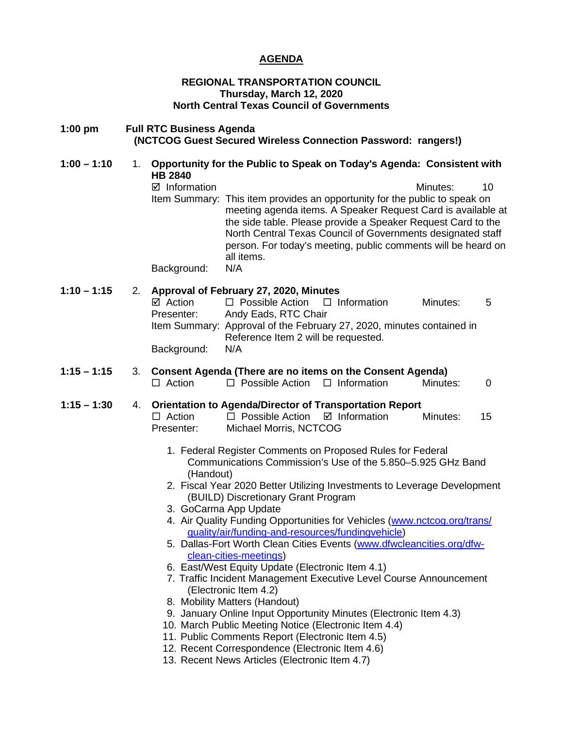#### **AGENDA**

#### **REGIONAL TRANSPORTATION COUNCIL Thursday, March 12, 2020 North Central Texas Council of Governments**

#### **1:00 pm Full RTC Business Agenda (NCTCOG Guest Secured Wireless Connection Password: rangers!)**

**1:00 – 1:10** 1. **Opportunity for the Public to Speak on Today's Agenda: Consistent with HB 2840**   $\boxtimes$  Information and a set of the Minutes: 10 Item Summary: This item provides an opportunity for the public to speak on meeting agenda items. A Speaker Request Card is available at the side table. Please provide a Speaker Request Card to the North Central Texas Council of Governments designated staff person. For today's meeting, public comments will be heard on all items. Background: N/A

### **1:10 – 1:15** 2. **Approval of February 27, 2020, Minutes**

 $\Box$  Possible Action  $\Box$  Information Minutes: 5 Presenter: Andy Eads, RTC Chair Item Summary: Approval of the February 27, 2020, minutes contained in Reference Item 2 will be requested. Background: N/A

#### **1:15 – 1:15** 3. **Consent Agenda (There are no items on the Consent Agenda)**  $\Box$  Action  $\Box$  Possible Action  $\Box$  Information Minutes: 0

# **1:15 – 1:30** 4. **Orientation to Agenda/Director of Transportation Report**

- $\Box$  Action  $\Box$  Possible Action  $\Box$  Information Minutes: 15 Presenter: Michael Morris, NCTCOG
	- 1. Federal Register Comments on Proposed Rules for Federal Communications Commission's Use of the 5.850–5.925 GHz Band (Handout)
	- 2. Fiscal Year 2020 Better Utilizing Investments to Leverage Development (BUILD) Discretionary Grant Program
	- 3. GoCarma App Update
	- 4. Air Quality Funding Opportunities for Vehicles [\(www.nctcog.org/trans/](http://www.nctcog.org/trans/quality/air/funding-and-resources/fundingvehicle) [quality/air/funding-and-resources/fundingvehicle\)](http://www.nctcog.org/trans/quality/air/funding-and-resources/fundingvehicle)
	- 5. Dallas-Fort Worth Clean Cities Events [\(www.dfwcleancities.org/dfw](http://www.dfwcleancities.org/dfw-clean-cities-meetings)[clean-cities-meetings\)](http://www.dfwcleancities.org/dfw-clean-cities-meetings)
	- 6. East/West Equity Update (Electronic Item 4.1)
	- 7. Traffic Incident Management Executive Level Course Announcement (Electronic Item 4.2)
	- 8. Mobility Matters (Handout)
	- 9. January Online Input Opportunity Minutes (Electronic Item 4.3)
	- 10. March Public Meeting Notice (Electronic Item 4.4)
	- 11. Public Comments Report (Electronic Item 4.5)
	- 12. Recent Correspondence (Electronic Item 4.6)
	- 13. Recent News Articles (Electronic Item 4.7)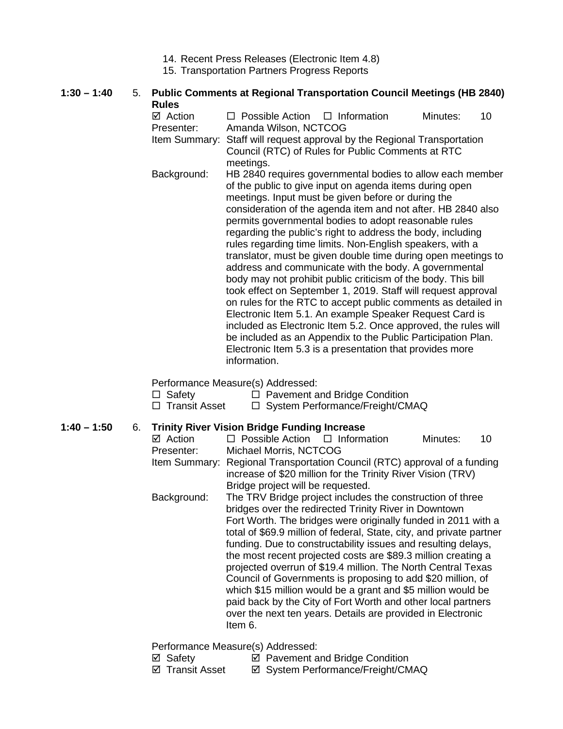- 14. Recent Press Releases (Electronic Item 4.8)
- 15. Transportation Partners Progress Reports

### **1:30 – 1:40** 5. **Public Comments at Regional Transportation Council Meetings (HB 2840) Rules**<br>☑ Action

- $\Box$  Possible Action  $\Box$  Information Minutes: 10 Presenter: Amanda Wilson, NCTCOG Item Summary: Staff will request approval by the Regional Transportation Council (RTC) of Rules for Public Comments at RTC meetings. Background: HB 2840 requires governmental bodies to allow each member of the public to give input on agenda items during open meetings. Input must be given before or during the consideration of the agenda item and not after. HB 2840 also permits governmental bodies to adopt reasonable rules
	- regarding the public's right to address the body, including rules regarding time limits. Non-English speakers, with a translator, must be given double time during open meetings to address and communicate with the body. A governmental body may not prohibit public criticism of the body. This bill took effect on September 1, 2019. Staff will request approval on rules for the RTC to accept public comments as detailed in Electronic Item 5.1. An example Speaker Request Card is included as Electronic Item 5.2. Once approved, the rules will be included as an Appendix to the Public Participation Plan. Electronic Item 5.3 is a presentation that provides more information.

Performance Measure(s) Addressed:

| $\Box$ Safety        | $\Box$ Pavement and Bridge Condition |
|----------------------|--------------------------------------|
| $\Box$ Transit Asset | □ System Performance/Freight/CMAQ    |

#### **1:40 – 1:50** 6. **Trinity River Vision Bridge Funding Increase**

| ☑ Action      | $\Box$ Possible Action $\Box$ Information                                                                                                                                                                                                                                                                                                                                                                                                                                                                                                                                                                                                                                                                                              |                                                                                                                            | Minutes: | 10 |
|---------------|----------------------------------------------------------------------------------------------------------------------------------------------------------------------------------------------------------------------------------------------------------------------------------------------------------------------------------------------------------------------------------------------------------------------------------------------------------------------------------------------------------------------------------------------------------------------------------------------------------------------------------------------------------------------------------------------------------------------------------------|----------------------------------------------------------------------------------------------------------------------------|----------|----|
| Presenter:    | Michael Morris, NCTCOG                                                                                                                                                                                                                                                                                                                                                                                                                                                                                                                                                                                                                                                                                                                 |                                                                                                                            |          |    |
| Item Summary: | Bridge project will be requested.                                                                                                                                                                                                                                                                                                                                                                                                                                                                                                                                                                                                                                                                                                      | Regional Transportation Council (RTC) approval of a funding<br>increase of \$20 million for the Trinity River Vision (TRV) |          |    |
| Background:   | The TRV Bridge project includes the construction of three<br>bridges over the redirected Trinity River in Downtown<br>Fort Worth. The bridges were originally funded in 2011 with a<br>total of \$69.9 million of federal, State, city, and private partner<br>funding. Due to constructability issues and resulting delays,<br>the most recent projected costs are \$89.3 million creating a<br>projected overrun of \$19.4 million. The North Central Texas<br>Council of Governments is proposing to add \$20 million, of<br>which \$15 million would be a grant and \$5 million would be<br>paid back by the City of Fort Worth and other local partners<br>over the next ten years. Details are provided in Electronic<br>Item 6. |                                                                                                                            |          |    |

Performance Measure(s) Addressed:

- $\boxtimes$  Safety  $\boxtimes$  Pavement and Bridge Condition
- ⊠ Transit Asset <br> **EX System Performance/Freight/CMAQ**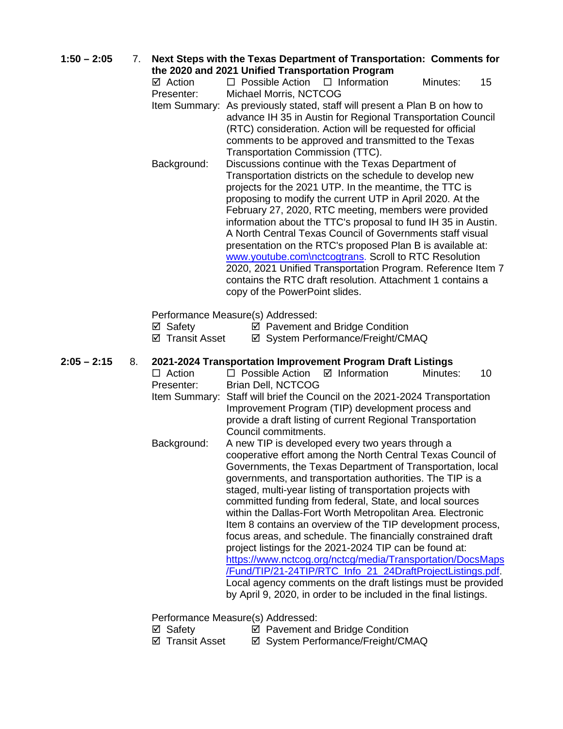**1:50 – 2:05** 7. **Next Steps with the Texas Department of Transportation: Comments for** 

**the 2020 and 2021 Unified Transportation Program**<br>  $\Box$  Action  $\Box$  Possible Action  $\Box$  Information  $\Box$  Possible Action  $\Box$  Information Minutes: 15 Presenter: Michael Morris, NCTCOG

- Item Summary: As previously stated, staff will present a Plan B on how to advance IH 35 in Austin for Regional Transportation Council (RTC) consideration. Action will be requested for official comments to be approved and transmitted to the Texas Transportation Commission (TTC).
- Background: Discussions continue with the Texas Department of Transportation districts on the schedule to develop new projects for the 2021 UTP. In the meantime, the TTC is proposing to modify the current UTP in April 2020. At the February 27, 2020, RTC meeting, members were provided information about the TTC's proposal to fund IH 35 in Austin. A North Central Texas Council of Governments staff visual presentation on the RTC's proposed Plan B is available at: [www.youtube.com\nctcogtrans.](http://www.youtube.com/nctcogtrans) Scroll to RTC Resolution 2020, 2021 Unified Transportation Program. Reference Item 7 contains the RTC draft resolution. Attachment 1 contains a copy of the PowerPoint slides.

Performance Measure(s) Addressed:

| ⊠ Safety | ☑ Pavement and Bridge Condition |
|----------|---------------------------------|
|----------|---------------------------------|

⊠ Transit Asset <br> **Ø System Performance/Freight/CMAQ** 

#### **2:05 – 2:15** 8. **2021-2024 Transportation Improvement Program Draft Listings**

- $\Box$  Action  $\Box$  Possible Action  $\Box$  Information Minutes: 10 Presenter: Brian Dell, NCTCOG
- Item Summary: Staff will brief the Council on the 2021-2024 Transportation Improvement Program (TIP) development process and provide a draft listing of current Regional Transportation Council commitments.
- Background: A new TIP is developed every two years through a cooperative effort among the North Central Texas Council of Governments, the Texas Department of Transportation, local governments, and transportation authorities. The TIP is a staged, multi-year listing of transportation projects with committed funding from federal, State, and local sources within the Dallas-Fort Worth Metropolitan Area. Electronic Item 8 contains an overview of the TIP development process, focus areas, and schedule. The financially constrained draft project listings for the 2021-2024 TIP can be found at: [https://www.nctcog.org/nctcg/media/Transportation/DocsMaps](https://www.nctcog.org/nctcg/media/Transportation/DocsMaps/Fund/TIP/21-24TIP/RTC_Info_21_24DraftProjectListings.pdf) [/Fund/TIP/21-24TIP/RTC\\_Info\\_21\\_24DraftProjectListings.pdf.](https://www.nctcog.org/nctcg/media/Transportation/DocsMaps/Fund/TIP/21-24TIP/RTC_Info_21_24DraftProjectListings.pdf) Local agency comments on the draft listings must be provided by April 9, 2020, in order to be included in the final listings.

Performance Measure(s) Addressed:

- 
- ⊠ Safety **I Pavement and Bridge Condition**<br> **I** Transit Asset **I** System Performance/Freight/CM  $\boxtimes$  System Performance/Freight/CMAQ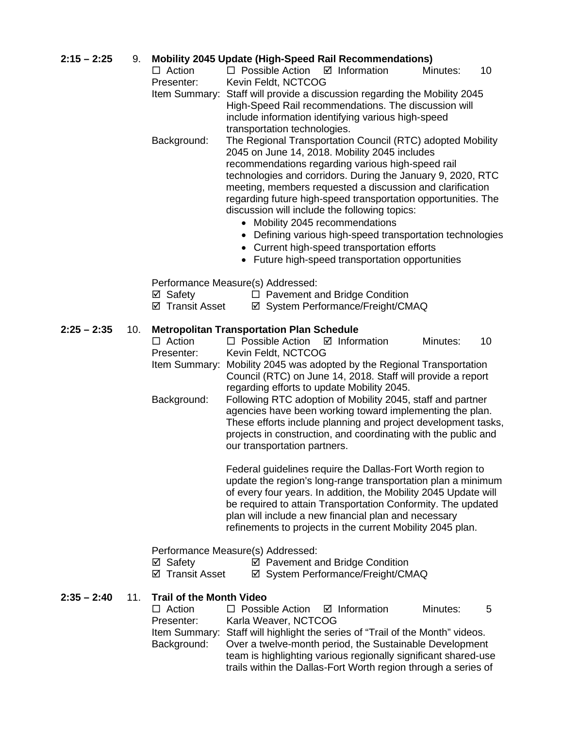## **2:15 – 2:25** 9. **Mobility 2045 Update (High-Speed Rail Recommendations)**

- $\Box$  Possible Action  $\Box$  Information Minutes: 10 Presenter: Kevin Feldt, NCTCOG
- Item Summary: Staff will provide a discussion regarding the Mobility 2045 High-Speed Rail recommendations. The discussion will include information identifying various high-speed transportation technologies.
- Background: The Regional Transportation Council (RTC) adopted Mobility 2045 on June 14, 2018. Mobility 2045 includes recommendations regarding various high-speed rail technologies and corridors. During the January 9, 2020, RTC meeting, members requested a discussion and clarification regarding future high-speed transportation opportunities. The discussion will include the following topics:
	- Mobility 2045 recommendations
	- Defining various high-speed transportation technologies
	- Current high-speed transportation efforts
	- Future high-speed transportation opportunities

Performance Measure(s) Addressed:

- $\boxtimes$  Safety  $\Box$  Pavement and Bridge Condition
- ⊠ Transit Asset <br> **Externe Performance/Freight/CMAQ**

# **2:25 – 2:35** 10. **Metropolitan Transportation Plan Schedule**

- $\Box$  Possible Action  $\Box$  Information Minutes: 10 Presenter: Kevin Feldt, NCTCOG
- Item Summary: Mobility 2045 was adopted by the Regional Transportation Council (RTC) on June 14, 2018. Staff will provide a report regarding efforts to update Mobility 2045.
- Background: Following RTC adoption of Mobility 2045, staff and partner agencies have been working toward implementing the plan. These efforts include planning and project development tasks, projects in construction, and coordinating with the public and our transportation partners.

Federal guidelines require the Dallas-Fort Worth region to update the region's long-range transportation plan a minimum of every four years. In addition, the Mobility 2045 Update will be required to attain Transportation Conformity. The updated plan will include a new financial plan and necessary refinements to projects in the current Mobility 2045 plan.

#### Performance Measure(s) Addressed:

- $\boxtimes$  Safety  $\boxtimes$  Pavement and Bridge Condition
- $\boxtimes$  **Transit Asset**  $\boxtimes$  System Performance/Freight/CMAQ

#### **2:35 – 2:40** 11. **Trail of the Month Video**

| $\Box$ Action | $\Box$ Possible Action $\Box$ Information                                     |                                                                | Minutes: | 5 |  |
|---------------|-------------------------------------------------------------------------------|----------------------------------------------------------------|----------|---|--|
| Presenter:    | Karla Weaver, NCTCOG                                                          |                                                                |          |   |  |
|               | Item Summary: Staff will highlight the series of "Trail of the Month" videos. |                                                                |          |   |  |
| Background:   | Over a twelve-month period, the Sustainable Development                       |                                                                |          |   |  |
|               |                                                                               | team is highlighting various regionally significant shared-use |          |   |  |
|               |                                                                               | trails within the Dallas-Fort Worth region through a series of |          |   |  |